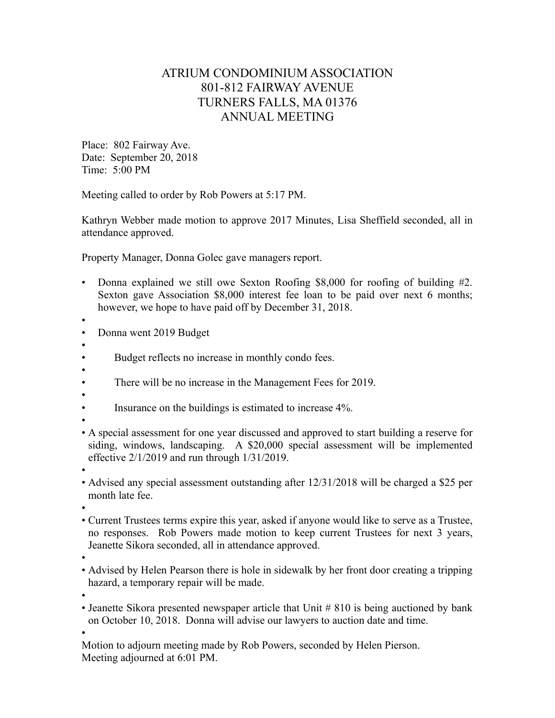## ATRIUM CONDOMINIUM ASSOCIATION 801-812 FAIRWAY AVENUE TURNERS FALLS, MA 01376 ANNUAL MEETING

Place: 802 Fairway Ave. Date: September 20, 2018 Time: 5:00 PM

Meeting called to order by Rob Powers at 5:17 PM.

Kathryn Webber made motion to approve 2017 Minutes, Lisa Sheffield seconded, all in attendance approved.

Property Manager, Donna Golec gave managers report.

• Donna explained we still owe Sexton Roofing \$8,000 for roofing of building #2. Sexton gave Association \$8,000 interest fee loan to be paid over next 6 months; however, we hope to have paid off by December 31, 2018.

•

- Donna went 2019 Budget
- •
- Budget reflects no increase in monthly condo fees.
- •
- There will be no increase in the Management Fees for 2019.
- •
- Insurance on the buildings is estimated to increase 4%.
- •
- A special assessment for one year discussed and approved to start building a reserve for siding, windows, landscaping. A \$20,000 special assessment will be implemented effective 2/1/2019 and run through 1/31/2019.
- •
- Advised any special assessment outstanding after 12/31/2018 will be charged a \$25 per month late fee.

•

- Current Trustees terms expire this year, asked if anyone would like to serve as a Trustee, no responses. Rob Powers made motion to keep current Trustees for next 3 years, Jeanette Sikora seconded, all in attendance approved.
- •

• Advised by Helen Pearson there is hole in sidewalk by her front door creating a tripping hazard, a temporary repair will be made.

•

• Jeanette Sikora presented newspaper article that Unit # 810 is being auctioned by bank on October 10, 2018. Donna will advise our lawyers to auction date and time.

•

Motion to adjourn meeting made by Rob Powers, seconded by Helen Pierson. Meeting adjourned at 6:01 PM.